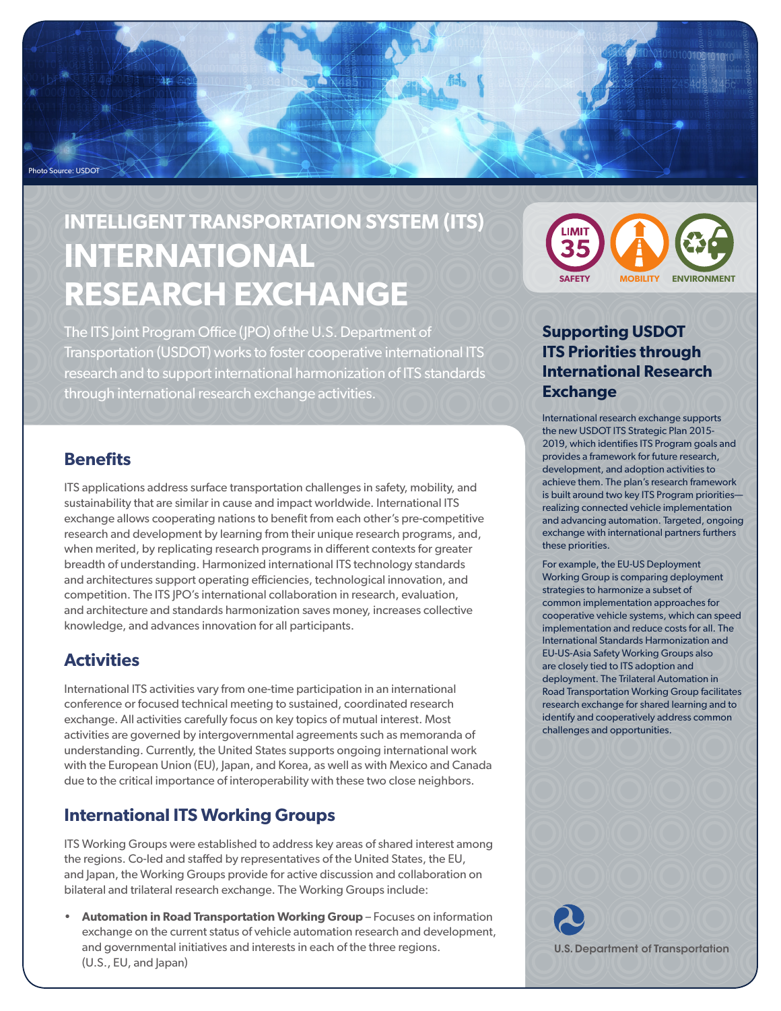

# **INTELLIGENT TRANSPORTATION SYSTEM (ITS) INTERNATIONAL RESEARCH EXCHANGE**

The ITS Joint Program Office (JPO) of the U.S. Department of Transportation (USDOT) works to foster cooperative international ITS research and to support international harmonization of ITS standards through international research exchange activities.

#### **Benefits**

ITS applications address surface transportation challenges in safety, mobility, and sustainability that are similar in cause and impact worldwide. International ITS exchange allows cooperating nations to benefit from each other's pre-competitive research and development by learning from their unique research programs, and, when merited, by replicating research programs in different contexts for greater breadth of understanding. Harmonized international ITS technology standards and architectures support operating efficiencies, technological innovation, and competition. The ITS JPO's international collaboration in research, evaluation, and architecture and standards harmonization saves money, increases collective knowledge, and advances innovation for all participants.

## **Activities**

International ITS activities vary from one-time participation in an international conference or focused technical meeting to sustained, coordinated research exchange. All activities carefully focus on key topics of mutual interest. Most activities are governed by intergovernmental agreements such as memoranda of understanding. Currently, the United States supports ongoing international work with the European Union (EU), Japan, and Korea, as well as with Mexico and Canada due to the critical importance of interoperability with these two close neighbors.

## **International ITS Working Groups**

ITS Working Groups were established to address key areas of shared interest among the regions. Co-led and staffed by representatives of the United States, the EU, and Japan, the Working Groups provide for active discussion and collaboration on bilateral and trilateral research exchange. The Working Groups include:

• **Automation in Road Transportation Working Group** – Focuses on information exchange on the current status of vehicle automation research and development, and governmental initiatives and interests in each of the three regions. (U.S., EU, and Japan)



## **Supporting USDOT ITS Priorities through International Research Exchange**

International research exchange supports the new USDOT ITS Strategic Plan 2015- 2019, which identifies ITS Program goals and provides a framework for future research, development, and adoption activities to achieve them. The plan's research framework is built around two key ITS Program priorities realizing connected vehicle implementation and advancing automation. Targeted, ongoing exchange with international partners furthers these priorities.

For example, the EU-US Deployment Working Group is comparing deployment strategies to harmonize a subset of common implementation approaches for cooperative vehicle systems, which can speed implementation and reduce costs for all. The International Standards Harmonization and EU-US-Asia Safety Working Groups also are closely tied to ITS adoption and deployment. The Trilateral Automation in Road Transportation Working Group facilitates research exchange for shared learning and to identify and cooperatively address common challenges and opportunities.